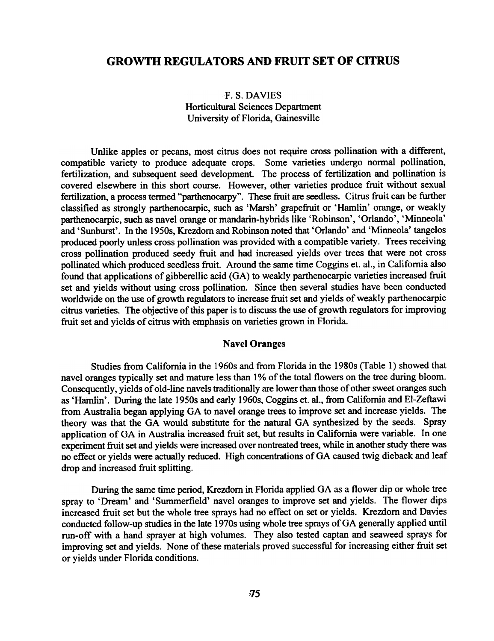# GROWTH REGULA TORS AND FRUIT SET OF CITRUS

## F. S. DAVIES Horticultural Sciences Department University of Florida, Gainesville

Unlike apples or pecans, most citrus does not require cross pollination with a different, compatible variety to produce adequate crops. Some varieties undergo normal pollination, fertilization, and subsequent seed development. The process of fertilization and pollination is covered elsewhere in this short course. However, other varieties produce fruit without sexual fertilization, a process termed "parthenocarpy".. These fruit are seedless. Citrus fruit can be further classified as strongly parthenocarpic, such as 'Marsh' grapefruit or 'Hamlin' orange, or weakly parthenocarpic, such as navel orange or mandarin-hybrids like 'Robinson', 'Orlando', 'Minneola' and 'Sunburst'. In the 1950s, Krezdorn and Robinson noted that 'Orlando' and 'Minneola' tangelos produced poorly unless cross pollination was provided with a compatible variety. Trees receiving cross pollination produced seedy fruit and had increased yields over trees that were not cross pollinated which produced seedless fruit. Around the same time Coggins et. al., in California also found that applications of gibberellic acid (GA) to weakly parthenocarpic varieties increased fruit set and yields without using cross pollination. Since then several studies have been conducted worldwide on the use of growth regulators to increase fruit set and yields of weakly parthenocarpic citrus varieties. The objective of this paper is to discuss the use of growth regulators for improving fruit set and yields of citrus with emphasis on varieties grown in Florida.

### Navel Oranges

Studies from California in the 1960s and from Florida in the 1980s (Table I) showed that navel oranges typically set and mature less than 1% of the total flowers on the tree during bloom. Consequently, yields of old-line navels traditionally are lower than those of other sweet oranges such as 'Hamlin'. During the late 1950s and early 1960s, Coggins et. al., from California and El-Zeftawi from Australia began applying GA to navel orange trees to improve set and increase yields. The theory was that the GA would substitute for the natural GA synthesized by the seeds. Spray application of GA in Australia increased fruit set, but results in California were variable. In one experiment fruit set and yields were increased over nontreated trees, while in another study there was no effect or yields were actually reduced. High concentrations of GA caused twig dieback and leaf drop and increased fruit splitting.

During the same time period, Krezdom in Florida applied GA as a flower dip or whole tree spray to 'Dream' and 'Summerfield' navel oranges to improve set and yields. The flower dips increased fruit set but the whole tree sprays had no effect on set or yields. Krezdom and Davies conducted follow-up studies in the late 1970s using whole tree sprays of GA generally applied until run-off with a hand sprayer at high volumes. They also tested captan and seaweed sprays for improving set and yields. None of these materials proved successful for increasing either fruit set or yields under Florida conditions.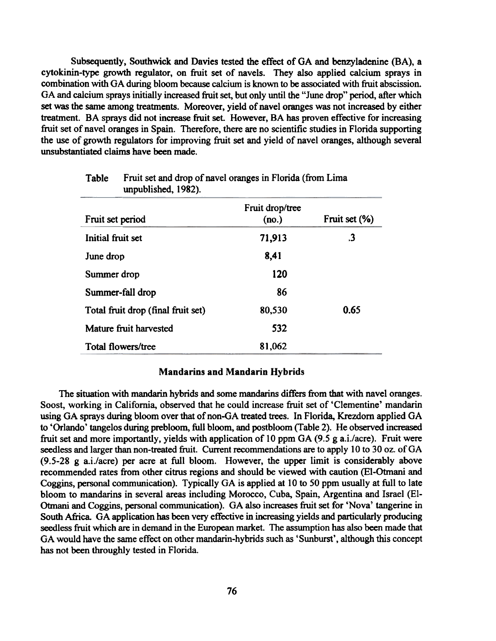Subsequently, Southwick and Davies tested the effect of GA and benzyladenine (BA), a cytokinin-type growth regulator, on fruit set of navels. They also applied calcium sprays in combination with GA during bloom because calcium is known to be associated with fruit abscission. GA and calcium sprays initially increased fruit set, but only until the "June drop" period, after which set was the same among treatments. Moreover, yield of navel oranges was not increased by either treatment. BA sprays did not increase fruit set. However, BA has proven effective for increasing fruit set of navel oranges in Spain. Therefore, there are no scientific studies in Florida supporting the use of growth regulators for improving fruit set and yield of navel oranges, although several unsubstantiated claims have been made.

| m, p, c, n, n, c, s, t > c, t      |                          |               |
|------------------------------------|--------------------------|---------------|
| Fruit set period                   | Fruit drop/tree<br>(no.) | Fruit set (%) |
| Initial fruit set                  | 71,913                   | $\cdot$ 3     |
| June drop                          | 8,41                     |               |
| Summer drop                        | 120                      |               |
| Summer-fall drop                   | 86                       |               |
| Total fruit drop (final fruit set) | 80,530                   | 0.65          |
| Mature fruit harvested             | 532                      |               |
| Total flowers/tree                 | 81,062                   |               |

Table Fruit set and drop of navel oranges in Florida (from Lima unpublished, 1982).

#### Mandarins and Mandarin Hybrids

The situation with mandarin hybrids and some mandarins differs from that with navel oranges. Soost, working in California, observed that he could increase fruit set of 'Clementine' mandarin using GA sprays during bloom over that of non-GA treated trees. In Florida, Krezdorn applied GA to 'Orlando' tangelos during prebloom. full bloom. and postbloom (Table 2). He observed increased fruit set and more importantly, yields with application of 10 ppm GA (9.5 g a.i./acre). Fruit were seedless and larger than non-treated fruit. Current recommendations are to apply 10 to 30 oz. of GA (9.5-28 g a.i./acre) per acre at full bloom. However, the upper limit is considerably above recommended rates from other citrus regions and should be viewed with caution (EI-Otrnani and Coggins, personal communication). Typically GA is applied at 10 to 50 ppm usually at full to late bloom to mandarins in several areas including Morocco, Cuba, Spain, Argentina and Israel (EI-Otmani and Coggins, personal communication). GA also increases fruit set for 'Nova' tangerine in South Africa. GA application has been very effective in increasing yields and particularly producing seedless fruit which are in demand in the European market. The assumption has also been made that GA would have the same effect on other mandarin-hybrids such as 'Sunburst', although this concept has not been throughly tested in Florida.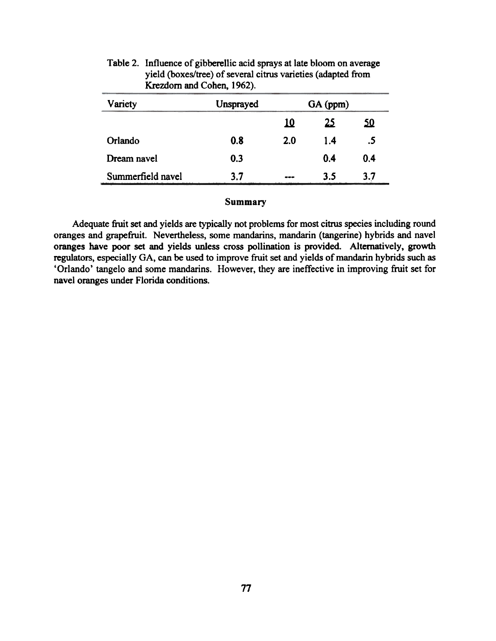| Variety           | Unsprayed | GA (ppm)   |     |           |
|-------------------|-----------|------------|-----|-----------|
|                   |           | <u> 10</u> | 25  | <u>50</u> |
| Orlando           | 0.8       | 2.0        | 1.4 | .5        |
| Dream navel       | 0.3       |            | 0.4 | 0.4       |
| Summerfield navel | 3.7       | ---        | 3.5 | 3.7       |

## Table 2. Influence of gibberellic acid sprays at late bloom on average yield (boxes/tree) of several citrus varieties (adapted from Krezdorn and Cohen, 1962).

## Summary

Adequate fruit set and yields are typically not problems for most citrus species including round oranges and grapefruit. Nevertheless, some mandarins, mandarin (tangerine) hybrids and navel oranges have poor set and yields unless cross pollination is provided. Alternatively, growth regulators, especially GA, can be used to improve fruit set and yields of mandarin hybrids such as 'Orlando' tangelo and some mandarins. However, they are ineffective in improving fruit set for navel oranges under Florida conditions.